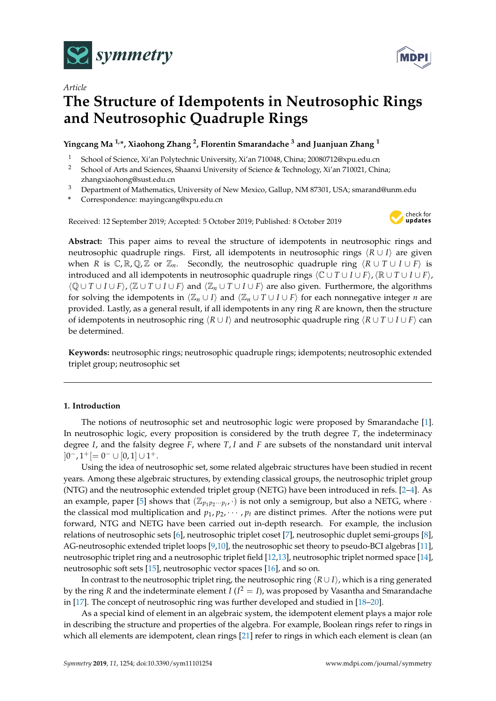

*Article*

# **The Structure of Idempotents in Neutrosophic Rings and Neutrosophic Quadruple Rings**

**Yingcang Ma 1,\*, Xiaohong Zhang <sup>2</sup> , Florentin Smarandache <sup>3</sup> and Juanjuan Zhang <sup>1</sup>**

- <sup>1</sup> School of Science, Xi'an Polytechnic University, Xi'an 710048, China; 20080712@xpu.edu.cn
- <sup>2</sup> School of Arts and Sciences, Shaanxi University of Science & Technology, Xi'an 710021, China; zhangxiaohong@sust.edu.cn
- <sup>3</sup> Department of Mathematics, University of New Mexico, Gallup, NM 87301, USA; smarand@unm.edu
- **\*** Correspondence: mayingcang@xpu.edu.cn

Received: 12 September 2019; Accepted: 5 October 2019; Published: 8 October 2019



**MDP** 

**Abstract:** This paper aims to reveal the structure of idempotents in neutrosophic rings and neutrosophic quadruple rings. First, all idempotents in neutrosophic rings  $\langle R \cup I \rangle$  are given when *R* is  $\mathbb{C}, \mathbb{R}, \mathbb{Q}, \mathbb{Z}$  or  $\mathbb{Z}_n$ . Secondly, the neutrosophic quadruple ring  $\langle R \cup T \cup I \cup F \rangle$  is introduced and all idempotents in neutrosophic quadruple rings  $\langle \mathbb{C} \cup T \cup I \cup F \rangle$ ,  $\langle \mathbb{R} \cup T \cup I \cup F \rangle$ , hQ ∪ *T* ∪ *I* ∪ *F*i,hZ ∪ *T* ∪ *I* ∪ *F*i and hZ*<sup>n</sup>* ∪ *T* ∪ *I* ∪ *F*i are also given. Furthermore, the algorithms for solving the idempotents in  $\langle \mathbb{Z}_n \cup I \rangle$  and  $\langle \mathbb{Z}_n \cup T \cup I \cup F \rangle$  for each nonnegative integer *n* are provided. Lastly, as a general result, if all idempotents in any ring *R* are known, then the structure of idempotents in neutrosophic ring  $\langle R \cup I \rangle$  and neutrosophic quadruple ring  $\langle R \cup T \cup I \cup F \rangle$  can be determined.

**Keywords:** neutrosophic rings; neutrosophic quadruple rings; idempotents; neutrosophic extended triplet group; neutrosophic set

# **1. Introduction**

The notions of neutrosophic set and neutrosophic logic were proposed by Smarandache [\[1\]](#page-13-0). In neutrosophic logic, every proposition is considered by the truth degree *T*, the indeterminacy degree *I*, and the falsity degree *F*, where *T*, *I* and *F* are subsets of the nonstandard unit interval  $]0^-, 1^+[=0^- \cup [0,1] \cup 1^+.$ 

Using the idea of neutrosophic set, some related algebraic structures have been studied in recent years. Among these algebraic structures, by extending classical groups, the neutrosophic triplet group (NTG) and the neutrosophic extended triplet group (NETG) have been introduced in refs. [\[2](#page-13-1)[–4\]](#page-13-2). As an example, paper [\[5\]](#page-13-3) shows that  $(\mathbb{Z}_{p_1 p_2 \cdots p_t}, \cdot)$  is not only a semigroup, but also a NETG, where  $\cdot$ the classical mod multiplication and  $p_1, p_2, \cdots, p_t$  are distinct primes. After the notions were put forward, NTG and NETG have been carried out in-depth research. For example, the inclusion relations of neutrosophic sets [\[6\]](#page-14-0), neutrosophic triplet coset [\[7\]](#page-14-1), neutrosophic duplet semi-groups [\[8\]](#page-14-2), AG-neutrosophic extended triplet loops [\[9](#page-14-3)[,10\]](#page-14-4), the neutrosophic set theory to pseudo-BCI algebras [\[11\]](#page-14-5), neutrosophic triplet ring and a neutrosophic triplet field [\[12](#page-14-6)[,13\]](#page-14-7), neutrosophic triplet normed space [\[14\]](#page-14-8), neutrosophic soft sets [\[15\]](#page-14-9), neutrosophic vector spaces [\[16\]](#page-14-10), and so on.

In contrast to the neutrosophic triplet ring, the neutrosophic ring  $\langle R \cup I \rangle$ , which is a ring generated by the ring *R* and the indeterminate element *I* ( $I^2 = I$ ), was proposed by Vasantha and Smarandache in [\[17\]](#page-14-11). The concept of neutrosophic ring was further developed and studied in [\[18–](#page-14-12)[20\]](#page-14-13).

As a special kind of element in an algebraic system, the idempotent element plays a major role in describing the structure and properties of the algebra. For example, Boolean rings refer to rings in which all elements are idempotent, clean rings [\[21\]](#page-14-14) refer to rings in which each element is clean (an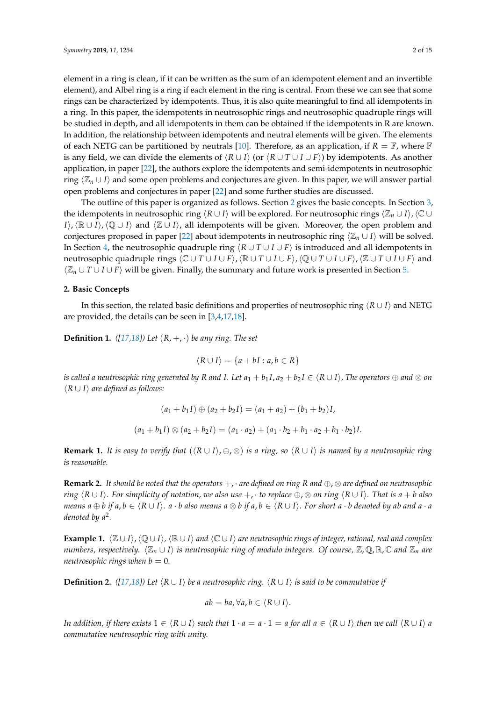element in a ring is clean, if it can be written as the sum of an idempotent element and an invertible element), and Albel ring is a ring if each element in the ring is central. From these we can see that some rings can be characterized by idempotents. Thus, it is also quite meaningful to find all idempotents in a ring. In this paper, the idempotents in neutrosophic rings and neutrosophic quadruple rings will be studied in depth, and all idempotents in them can be obtained if the idempotents in R are known. In addition, the relationship between idempotents and neutral elements will be given. The elements of each NETG can be partitioned by neutrals [\[10\]](#page-14-4). Therefore, as an application, if  $R = \mathbb{F}$ , where  $\mathbb{F}$ is any field, we can divide the elements of  $\langle R \cup I \rangle$  (or  $\langle R \cup T \cup I \cup F \rangle$ ) by idempotents. As another application, in paper [\[22\]](#page-14-15), the authors explore the idempotents and semi-idempotents in neutrosophic ring  $\langle \mathbb{Z}_n \cup I \rangle$  and some open problems and conjectures are given. In this paper, we will answer partial open problems and conjectures in paper [\[22\]](#page-14-15) and some further studies are discussed.

The outline of this paper is organized as follows. Section [2](#page-1-0) gives the basic concepts. In Section [3,](#page-2-0) the idempotents in neutrosophic ring  $\langle R \cup I \rangle$  will be explored. For neutrosophic rings  $\langle \mathbb{Z}_n \cup I \rangle$ ,  $\langle \mathbb{C} \cup I \rangle$ *I*),  $\langle \mathbb{R} \cup I \rangle$ ,  $\langle \mathbb{Q} \cup I \rangle$  and  $\langle \mathbb{Z} \cup I \rangle$ , all idempotents will be given. Moreover, the open problem and conjectures proposed in paper [\[22\]](#page-14-15) about idempotents in neutrosophic ring  $\langle \mathbb{Z}_n \cup I \rangle$  will be solved. In Section [4,](#page-6-0) the neutrosophic quadruple ring  $\langle R \cup T \cup I \cup F \rangle$  is introduced and all idempotents in neutrosophic quadruple rings  $\langle \mathbb{C} \cup T \cup I \cup F \rangle$ ,  $\langle \mathbb{R} \cup T \cup I \cup F \rangle$ ,  $\langle \mathbb{Q} \cup T \cup I \cup F \rangle$ ,  $\langle \mathbb{Z} \cup T \cup I \cup F \rangle$  and  $\langle \mathbb{Z}_n \cup T \cup I \cup F \rangle$  will be given. Finally, the summary and future work is presented in Section [5.](#page-11-0)

## <span id="page-1-0"></span>**2. Basic Concepts**

In this section, the related basic definitions and properties of neutrosophic ring h*R* ∪ *I*i and NETG are provided, the details can be seen in [\[3,](#page-13-4)[4,](#page-13-2)[17,](#page-14-11)[18\]](#page-14-12).

**Definition 1.** ([\[17,](#page-14-11)[18\]](#page-14-12)) Let  $(R, +, \cdot)$  be any ring. The set

$$
\langle R \cup I \rangle = \{a + bI : a, b \in R\}
$$

*is called a neutrosophic ring generated by R and I. Let*  $a_1 + b_1 I$ ,  $a_2 + b_2 I \in \langle R \cup I \rangle$ , *The operators*  $\oplus$  *and*  $\otimes$  *on* h*R* ∪ *I*i *are defined as follows:*

$$
(a_1 + b_1 I) \oplus (a_2 + b_2 I) = (a_1 + a_2) + (b_1 + b_2)I,
$$
  

$$
(a_1 + b_1 I) \otimes (a_2 + b_2 I) = (a_1 \cdot a_2) + (a_1 \cdot b_2 + b_1 \cdot a_2 + b_1 \cdot b_2)I.
$$

**Remark 1.** *It is easy to verify that*  $(\langle R \cup I \rangle, \oplus, \otimes)$  *is a ring, so*  $\langle R \cup I \rangle$  *is named by a neutrosophic ring is reasonable.*

<span id="page-1-1"></span>**Remark 2.** *It should be noted that the operators*  $+$ ,  $\cdot$  *are defined on ring*  $R$  *and*  $\oplus$ ,  $\otimes$  *are defined on neutrosophic ring*  $\langle R \cup I \rangle$ *. For simplicity of notation, we also use* +, · *to replace*  $\oplus$ , ⊗ *on ring*  $\langle R \cup I \rangle$ *. That is*  $a + b$  *also* means  $a \oplus b$  if  $a, b \in \langle R \cup I \rangle$ .  $a \cdot b$  also means  $a \otimes b$  if  $a, b \in \langle R \cup I \rangle$ . For short  $a \cdot b$  denoted by ab and  $a \cdot a$ *denoted by a*<sup>2</sup> *.*

**Example 1.**  $\langle \mathbb{Z} \cup I \rangle$ ,  $\langle \mathbb{Q} \cup I \rangle$ ,  $\langle \mathbb{R} \cup I \rangle$  and  $\langle \mathbb{C} \cup I \rangle$  are neutrosophic rings of integer, rational, real and complex *numbers, respectively.*  $\langle \mathbb{Z}_n \cup I \rangle$  *is neutrosophic ring of modulo integers. Of course,*  $\mathbb{Z}_r \mathbb{Q}, \mathbb{R}, \mathbb{C}$  and  $\mathbb{Z}_n$  are *neutrosophic rings when*  $b = 0$ *.* 

**Definition 2.** *(*[\[17,](#page-14-11)[18\]](#page-14-12)) Let  $\langle R \cup I \rangle$  be a neutrosophic ring.  $\langle R \cup I \rangle$  is said to be commutative if

$$
ab = ba, \forall a, b \in \langle R \cup I \rangle.
$$

*In addition, if there exists*  $1 \in \langle R \cup I \rangle$  *such that*  $1 \cdot a = a \cdot 1 = a$  *for all*  $a \in \langle R \cup I \rangle$  *then we call*  $\langle R \cup I \rangle$  *a commutative neutrosophic ring with unity.*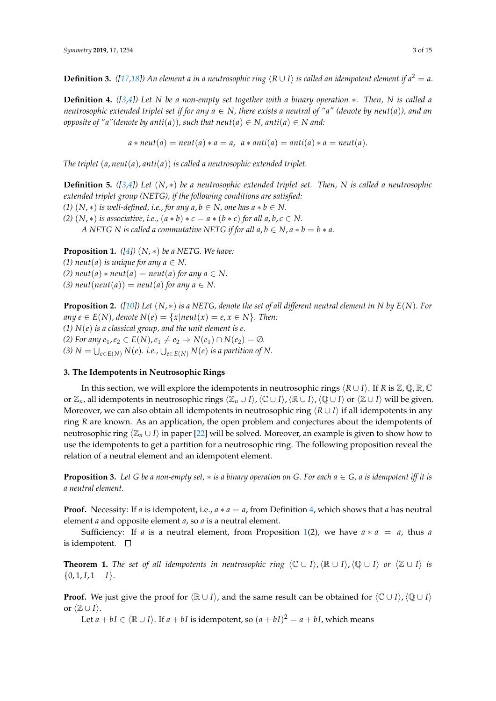**Definition 3.** *([\[17](#page-14-11)[,18\]](#page-14-12))* An element a in a neutrosophic ring  $\langle R \cup I \rangle$  is called an idempotent element if  $a^2 = a$ .

<span id="page-2-1"></span>**Definition 4.** *([\[3](#page-13-4)[,4\]](#page-13-2)) Let N be a non-empty set together with a binary operation* ∗*. Then, N is called a neutrosophic extended triplet set if for any*  $a \in N$ *, there exists a neutral of "a" (denote by neut*(*a*)), and an *opposite of "a"(denote by anti*(*a*)), such that neut(*a*)  $\in$  *N*, anti(*a*)  $\in$  *N* and:

 $a * \textit{neut}(a) = \textit{neut}(a) * a = a, \ \ a * \textit{anti}(a) = \textit{anti}(a) * a = \textit{neut}(a).$ 

*The triplet* (*a*, *neut*(*a*), *anti*(*a*)) *is called a neutrosophic extended triplet.*

**Definition 5.** *([\[3](#page-13-4)[,4\]](#page-13-2)) Let* (*N*, ∗) *be a neutrosophic extended triplet set. Then, N is called a neutrosophic extended triplet group (NETG), if the following conditions are satisfied: (1)*  $(N, *)$  *is well-defined, i.e., for any*  $a, b \in N$ *, one has*  $a * b \in N$ *. (2)*  $(N, *)$  *is associative, i.e.,*  $(a * b) * c = a * (b * c)$  *for all a, b, c*  $\in N$ . *A* NETG N is called a commutative NETG if for all  $a, b \in N$ ,  $a * b = b * a$ .

<span id="page-2-2"></span>**Proposition 1.** *([\[4\]](#page-13-2))* (*N*, ∗) *be a NETG. We have:*

*(1) neut*(*a*) *is unique for any*  $a \in N$ .

 $(2)$  *neut* $(a) * \text{neut}(a) = \text{neut}(a)$  *for any*  $a \in N$ .

*(3) neut*(*neut*(*a*)) = *neut*(*a*) *for any*  $a \in N$ .

<span id="page-2-4"></span>**Proposition 2.** *([\[10\]](#page-14-4)) Let* (*N*, ∗) *is a NETG, denote the set of all different neutral element in N by E*(*N*)*. For any*  $e \in E(N)$ , denote  $N(e) = \{x | neut(x) = e, x \in N\}$ . Then: *(1) N*(*e*) *is a classical group, and the unit element is e. (2) For any e*<sub>1</sub>, *e*<sub>2</sub> ∈ *E*(*N*), *e*<sub>1</sub> ≠ *e*<sub>2</sub> ⇒ *N*(*e*<sub>1</sub>) ∩ *N*(*e*<sub>2</sub>) = ∅*. (3)*  $N = \bigcup_{e \in E(N)} N(e)$ . i.e.,  $\bigcup_{e \in E(N)} N(e)$  is a partition of N.

## <span id="page-2-0"></span>**3. The Idempotents in Neutrosophic Rings**

In this section, we will explore the idempotents in neutrosophic rings  $\langle R \cup I \rangle$ . If *R* is Z, Q, R, C or  $\mathbb{Z}_n$ , all idempotents in neutrosophic rings  $\langle \mathbb{Z}_n \cup I \rangle$ ,  $\langle \mathbb{C} \cup I \rangle$ ,  $\langle \mathbb{R} \cup I \rangle$ ,  $\langle \mathbb{Q} \cup I \rangle$  or  $\langle \mathbb{Z} \cup I \rangle$  will be given. Moreover, we can also obtain all idempotents in neutrosophic ring  $\langle R \cup I \rangle$  if all idempotents in any ring *R* are known. As an application, the open problem and conjectures about the idempotents of neutrosophic ring  $\langle \mathbb{Z}_n \cup I \rangle$  in paper [\[22\]](#page-14-15) will be solved. Moreover, an example is given to show how to use the idempotents to get a partition for a neutrosophic ring. The following proposition reveal the relation of a neutral element and an idempotent element.

<span id="page-2-3"></span>**Proposition 3.** Let *G* be a non-empty set,  $*$  is a binary operation on *G*. For each  $a \in G$ ,  $a$  is idempotent iff it is *a neutral element.*

**Proof.** Necessity: If *a* is idempotent, i.e., *a* ∗ *a* = *a*, from Definition [4,](#page-2-1) which shows that *a* has neutral element *a* and opposite element *a*, so *a* is a neutral element.

Sufficiency: If *a* is a neutral element, from Proposition [1\(](#page-2-2)2), we have  $a * a = a$ , thus *a* is idempotent.  $\square$ 

**Theorem 1.** *The set of all idempotents in neutrosophic ring*  $\langle \mathbb{C} \cup I \rangle$ ,  $\langle \mathbb{R} \cup I \rangle$ ,  $\langle \mathbb{Q} \cup I \rangle$  *or*  $\langle \mathbb{Z} \cup I \rangle$  *is*  $\{0, 1, I, 1 - I\}.$ 

**Proof.** We just give the proof for  $\langle \mathbb{R} \cup I \rangle$ , and the same result can be obtained for  $\langle \mathbb{C} \cup I \rangle$ ,  $\langle \mathbb{Q} \cup I \rangle$ or  $\langle \mathbb{Z} \cup I \rangle$ .

Let  $a + bI \in \langle \mathbb{R} \cup I \rangle$ . If  $a + bI$  is idempotent, so  $(a + bI)^2 = a + bI$ , which means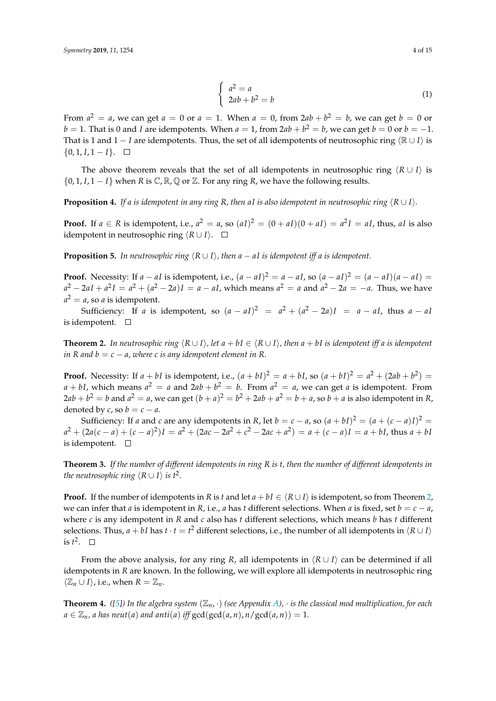$$
\begin{cases}\n a^2 = a \\
 2ab + b^2 = b\n\end{cases}
$$
\n(1)

From  $a^2 = a$ , we can get  $a = 0$  or  $a = 1$ . When  $a = 0$ , from  $2ab + b^2 = b$ , we can get  $b = 0$  or  $b = 1$ . That is 0 and *I* are idempotents. When  $a = 1$ , from 2 $ab + b^2 = b$ , we can get  $b = 0$  or  $b = -1$ . That is 1 and 1 − *I* are idempotents. Thus, the set of all idempotents of neutrosophic ring  $\langle \mathbb{R} \cup I \rangle$  is { $0, 1, I, 1 - I$ }. □

The above theorem reveals that the set of all idempotents in neutrosophic ring  $\langle R \cup I \rangle$  is  $\{0, 1, I, 1 - I\}$  when *R* is  $\mathbb{C}, \mathbb{R}, \mathbb{Q}$  or  $\mathbb{Z}$ . For any ring *R*, we have the following results.

**Proposition 4.** If a is idempotent in any ring R, then aI is also idempotent in neutrosophic ring  $\langle R \cup I \rangle$ .

**Proof.** If  $a \in R$  is idempotent, i.e.,  $a^2 = a$ , so  $(aI)^2 = (0 + aI)(0 + aI) = a^2I = aI$ , thus, aI is also idempotent in neutrosophic ring  $(R ∪ I)$ . □

**Proposition 5.** In neutrosophic ring  $\langle R \cup I \rangle$ , then a − aI is idempotent iff a is idempotent.

**Proof.** Necessity: If  $a - aI$  is idempotent, i.e.,  $(a - aI)^2 = a - aI$ , so  $(a - aI)^2 = (a - aI)(a - aI)$  $a^2 - 2aI + a^2I = a^2 + (a^2 - 2a)I = a - aI$ , which means  $a^2 = a$  and  $a^2 - 2a = -a$ . Thus, we have  $a^2 = a$ , so *a* is idempotent.

Sufficiency: If *a* is idempotent, so  $(a - aI)^2 = a^2 + (a^2 - 2a)I = a - aI$ , thus  $a - aI$ is idempotent.  $\square$ 

<span id="page-3-0"></span>**Theorem 2.** In neutrosophic ring  $\langle R \cup I \rangle$ , let  $a + bI \in \langle R \cup I \rangle$ , then  $a + bI$  is idempotent iff a is idempotent *in R* and  $b = c - a$ , where *c* is any idempotent element in *R*.

**Proof.** Necessity: If  $a + bI$  is idempotent, i.e.,  $(a + bI)^2 = a + bI$ , so  $(a + bI)^2 = a^2 + (2ab + b^2) =$  $a + bI$ , which means  $a^2 = a$  and  $2ab + b^2 = b$ . From  $a^2 = a$ , we can get *a* is idempotent. From  $2ab + b^2 = b$  and  $a^2 = a$ , we can get  $(b + a)^2 = b^2 + 2ab + a^2 = b + a$ , so  $b + a$  is also idempotent in *R*, denoted by *c*, so  $b = c - a$ .

Sufficiency: If *a* and *c* are any idempotents in *R*, let *b* = *c* − *a*, so  $(a + bI)^2 = (a + (c - a)I)^2$  =  $a^2 + (2a(c-a)+(c-a)^2)I = a^2 + (2ac-2a^2+c^2-2ac+a^2) = a+(c-a)I = a+ bI$ , thus  $a+bI$ is idempotent.  $\square$ 

<span id="page-3-1"></span>**Theorem 3.** *If the number of different idempotents in ring R is t, then the number of different idempotents in the neutrosophic ring*  $\langle R \cup I \rangle$  *is t*<sup>2</sup>.

**Proof.** If the number of idempotents in *R* is *t* and let  $a + bI \in \langle R \cup I \rangle$  is idempotent, so from Theorem [2,](#page-3-0) we can infer that *a* is idempotent in *R*, i.e., *a* has *t* different selections. When *a* is fixed, set  $b = c - a$ , where *c* is any idempotent in *R* and *c* also has *t* different selections, which means *b* has *t* different selections. Thus*, a* + *bI* has *t* · *t* = *t*<sup>2</sup> different selections, i.e., the number of all idempotents in  $\langle R \cup I \rangle$ is  $t^2$ .

From the above analysis, for any ring *R*, all idempotents in  $\langle R \cup I \rangle$  can be determined if all idempotents in *R* are known. In the following, we will explore all idempotents in neutrosophic ring  $\langle \mathbb{Z}_n \cup I \rangle$ , i.e., when *R* =  $\mathbb{Z}_n$ .

<span id="page-3-2"></span>**Theorem 4.** *(*[\[5\]](#page-13-3)) In the algebra system  $(\mathbb{Z}_n, \cdot)$  (see Appendix [A\)](#page-12-0),  $\cdot$  is the classical mod multiplication, for each  $a \in \mathbb{Z}_n$ , *a* has neut(*a*) and anti(*a*) iff  $gcd(gcd(a,n), n/gcd(a,n)) = 1$ .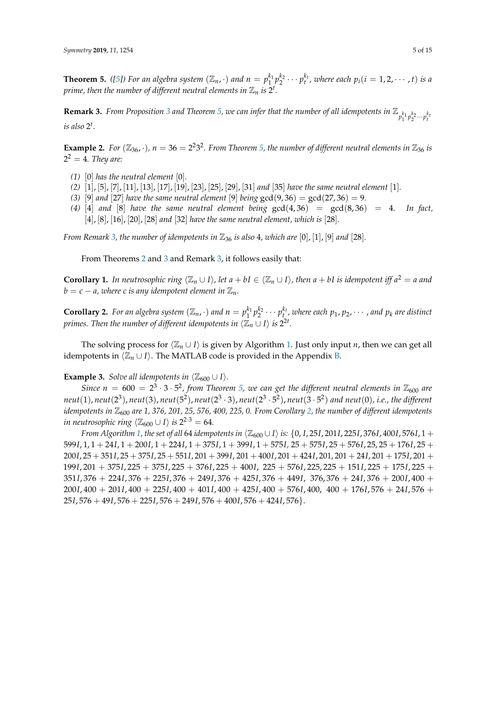<span id="page-4-0"></span>**Theorem 5.** ([\[5\]](#page-13-3)) For an algebra system  $(\mathbb{Z}_n, \cdot)$  and  $n = p_1^{k_1} p_2^{k_2} \cdots p_t^{k_t}$ , where each  $p_i(i = 1, 2, \cdots, t)$  is a prime, then the number of different neutral elements in  $\mathbb{Z}_n$  is  $2^t$ .

<span id="page-4-1"></span>**Remark [3](#page-2-3).** *From Proposition* 3 and Theorem [5,](#page-4-0) we can infer that the number of all idempotents in  $\mathbb{Z}_{p_1^{k_1}p_2^{k_2}\cdots p_t^{k_t}}$ *is also* 2 *t .*

**Example 2.** For  $(\mathbb{Z}_{36}, \cdot)$ ,  $n = 36 = 2^2 3^2$ . From Theorem [5,](#page-4-0) the number of different neutral elements in  $\mathbb{Z}_{36}$  is  $2^2 = 4$ *. They are:* 

- *(1)* [0] *has the neutral element* [0]*.*
- *(2)* [1], [5], [7], [11], [13], [17], [19], [23], [25], [29], [31] *and* [35] *have the same neutral element* [1]*.*
- *(3)* [9] *and* [27] *have the same neutral element* [9] *being* gcd(9,36) = gcd(27,36) = 9.
- (4) [4] *and* [8] *have the same neutral element being*  $gcd(4, 36) = gcd(8, 36) = 4$ . In fact, [4], [8], [16], [20], [28] *and* [32] *have the same neutral element, which is* [28]*.*

*From Remark* [3,](#page-4-1) the number of idempotents in  $\mathbb{Z}_{36}$  is also 4, which are  $[0]$ ,  $[1]$ ,  $[9]$  and  $[28]$ .

From Theorems [2](#page-3-0) and [3](#page-3-1) and Remark [3,](#page-4-1) it follows easily that:

<span id="page-4-3"></span>**Corollary 1.** In neutrosophic ring  $\langle \mathbb{Z}_n \cup I \rangle$ , let  $a + bI \in \langle \mathbb{Z}_n \cup I \rangle$ , then  $a + bI$  is idempotent iff  $a^2 = a$  and  $b = c - a$ , where c is any idempotent element in  $\mathbb{Z}_n$ .

<span id="page-4-2"></span>**Corollary 2.** For an algebra system  $(\mathbb{Z}_n, \cdot)$  and  $n = p_1^{k_1}p_2^{k_2}\cdots p_t^{k_t}$ , where each  $p_1, p_2, \cdots$  , and  $p_k$  are distinct *primes. Then the number of different idempotents in*  $\langle \mathbb{Z}_n \cup I \rangle$  *is*  $2^{2t}$ *.* 

The solving process for  $\langle \mathbb{Z}_n \cup I \rangle$  is given by Algorithm [1.](#page-5-0) Just only input *n*, then we can get all idempotents in  $\langle \mathbb{Z}_n \cup I \rangle$ . The MATLAB code is provided in the Appendix [B.](#page-12-1)

**Example 3.** *Solve all idempotents in*  $\langle \mathbb{Z}_{600} \cup I \rangle$ *.* 

*Since*  $n = 600 = 2^3 \cdot 3 \cdot 5^2$ , from Theorem [5,](#page-4-0) we can get the different neutral elements in  $\mathbb{Z}_{600}$  are *neut*(1), *neut*(2 3 ), *neut*(3), *neut*(5 2 ), *neut*(2 3 · 3), *neut*(2 3 · 5 2 ), *neut*(3 · 5 2 ) *and neut*(0)*, i.e., the different idempotents in*  $\mathbb{Z}_{600}$  are 1, 376, 201, 25, 576, 400, 225, 0. From Corollary [2,](#page-4-2) the number of different idempotents *in neutrosophic ring*  $\langle \mathbb{Z}_{600} \cup I \rangle$  *is*  $2^{2 \cdot 3} = 64$ *.* 

*From Algorithm* [1,](#page-5-0) the set of all 64 *idempotents in*  $\langle \mathbb{Z}_{600} \cup I \rangle$  *is:*  $\{0, I, 25I, 201I, 225I, 376I, 400I, 576I, 1 +$ *I*, 1, 1 + 24*I*, 1 + 200*I*, 1 + 224*I*, 1 + 375*I*, 1 + 399*I*, 1 + 575*I,* 25 + 575*I*, 25 + 576*I*, 25, 25 + 176*I*, 25 + *I*, 25 + 351*I*, 25 + 375*I*, 25 + 551*I*, 201 + 399*I*, 201 + 400*I*, 201 + 424*I*, 201, 201 + 24*I*, 201 + 175*I*, 201 + *I*, 201 + 375*I*, 225 + 375*I*, 225 + 376*I*, 225 + 400*I*, 225 + 576*I*, 225, 225 + 151*I*, 225 + 175*I*, 225 + *I*, 376 + 224*I*, 376 + 225*I*, 376 + 249*I*, 376 + 425*I*, 376 + 449*I*, 376, 376 + 24*I*, 376 + 200*I*, 400 + *I*, 400 + 201*I*, 400 + 225*I*, 400 + 401*I*, 400 + 425*I*, 400 + 576*I*, 400, 400 + 176*I*, 576 + 24*I*, 576 + *I*, 576 + 49*I*, 576 + 225*I*, 576 + 249*I*, 576 + 400*I*, 576 + 424*I*, 576}.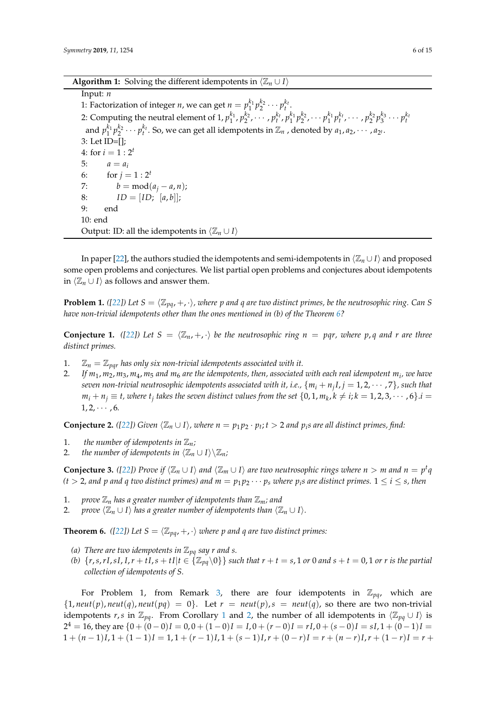|  |  | <b>Algorithm 1:</b> Solving the different idempotents in $\langle \mathbb{Z}_n \cup I \rangle$ |  |  |  |
|--|--|------------------------------------------------------------------------------------------------|--|--|--|
|--|--|------------------------------------------------------------------------------------------------|--|--|--|

<span id="page-5-0"></span>Input: *n* 1: Factorization of integer *n*, we can get  $n = p_1^{k_1} p_2^{k_2} \cdots p_t^{k_t}$ . 2: Computing the neutral element of  $1, p_1^{k_1}, p_2^{k_2}, \cdots, p_t^{k_t}, p_1^{k_1}p_2^{k_2}, \cdots p_1^{k_1}p_t^{k_t}, \cdots, p_2^{k_2}p_3^{k_3}\cdots p_t^{k_t}$ and  $p_1^{k_1}p_2^{k_2}\cdots p_t^{k_t}$ . So, we can get all idempotents in  $\mathbb{Z}_n$  , denoted by  $a_1, a_2, \cdots, a_{2^t}$ . 3: Let ID=[]; 4: for  $i = 1 : 2^t$ 5:  $a = a_i$ 6: for  $j = 1 : 2^t$ 7:  $b = \text{mod}(a_i - a, n);$ 8:  $ID = [ID; [a, b]];$ 9: end 10: end Output: ID: all the idempotents in  $\langle \mathbb{Z}_n \cup I \rangle$ 

In paper [\[22\]](#page-14-15), the authors studied the idempotents and semi-idempotents in  $\langle \mathbb{Z}_n \cup I \rangle$  and proposed some open problems and conjectures. We list partial open problems and conjectures about idempotents in  $\langle \mathbb{Z}_n \cup I \rangle$  as follows and answer them.

**Problem 1.** *(*[\[22\]](#page-14-15)) Let  $S = \langle \mathbb{Z}_{pq}, +, \cdot \rangle$ , where p and q are two distinct primes, be the neutrosophic ring. Can S *have non-trivial idempotents other than the ones mentioned in (b) of the Theorem [6?](#page-5-1)*

**Conjecture 1.** ([\[22\]](#page-14-15)) Let  $S = \langle \mathbb{Z}_n, +, \cdot \rangle$  be the neutrosophic ring  $n = pqr$ , where p, q and r are three *distinct primes.*

- $\mathbb{Z}_n = \mathbb{Z}_{\text{par}}$  has only six non-trivial idempotents associated with it.
- 2. *If m*1, *m*2, *m*3, *m*4, *m*<sup>5</sup> *and m*<sup>6</sup> *are the idempotents, then, associated with each real idempotent m<sup>i</sup> , we have seven non-trivial neutrosophic idempotents associated with it, i.e.,* {*m<sup>i</sup>* + *n<sup>j</sup> I*, *j* = 1, 2, · · · , 7}*, such that*  $m_i + n_j \equiv t$ , where  $t_j$  takes the seven distinct values from the set  $\{0, 1, m_k, k \neq i; k = 1, 2, 3, \cdots, 6\}$ . $i =$  $1, 2, \cdots, 6.$

**Conjecture 2.** ([\[22\]](#page-14-15)) Given  $\langle \mathbb{Z}_n \cup I \rangle$ , where  $n = p_1 p_2 \cdot p_t$ ;  $t > 2$  and  $p_i$ s are all distinct primes, find:

- 1. the number of idempotents in  $\mathbb{Z}_n$ ;
- 2. *the number of idempotents in*  $\langle \mathbb{Z}_n \cup I \rangle \setminus \mathbb{Z}_n$ ;

**Conjecture 3.** ([\[22\]](#page-14-15)) Prove if  $\langle \mathbb{Z}_n \cup I \rangle$  and  $\langle \mathbb{Z}_m \cup I \rangle$  are two neutrosophic rings where  $n > m$  and  $n = p^t q$  $(t >$  2, and  $p$  and  $q$  two distinct primes) and  $m = p_1 p_2 \cdots p_s$  where  $p_i$ s are distinct primes.  $1 \leq i \leq s$ , then

- 1. *prove*  $\mathbb{Z}_n$  has a greater number of idempotents than  $\mathbb{Z}_m$ ; and
- 2. *prove*  $\langle \mathbb{Z}_n \cup I \rangle$  *has a greater number of idempotents than*  $\langle \mathbb{Z}_n \cup I \rangle$ *.*

<span id="page-5-1"></span>**Theorem 6.** *(*[\[22\]](#page-14-15)*)* Let  $S = \langle \mathbb{Z}_{pq}, +, \cdot \rangle$  *where p and q are two distinct primes:* 

- *(a) There are two idempotents in*  $\mathbb{Z}_{pq}$  *say r and s.*
- (b)  $\{r, s, rI, sI, I, r + tI, s + tI | t \in \{Z_{pq} \setminus 0\}\}\$  such that  $r + t = s$ , 1 or 0 and  $s + t = 0$ , 1 or r is the partial *collection of idempotents of S.*

For Problem 1, from Remark [3,](#page-4-1) there are four idempotents in  $\mathbb{Z}_{pq}$ , which are  $\{1, \textit{neut}(p), \textit{neut}(q), \textit{neut}(pq) = 0\}$ . Let  $r = \textit{neut}(p), s = \textit{neut}(q)$ , so there are two non-trivial idempotents *r*,*s* in  $\mathbb{Z}_{pa}$ . From Corollary [1](#page-4-3) and [2,](#page-4-2) the number of all idempotents in  $\langle \mathbb{Z}_{pa} \cup I \rangle$  is  $2^4 = 16$ , they are  $\{0 + (0 - 0)I = 0$ ,  $0 + (1 - 0)I = I$ ,  $0 + (r - 0)I = rI$ ,  $0 + (s - 0)I = sI$ ,  $1 + (0 - 1)I = sI$  $1 + (n-1)I, 1 + (1-1)I = 1, 1 + (r-1)I, 1 + (s-1)I, r + (0-r)I = r + (n-r)I, r + (1-r)I = r +$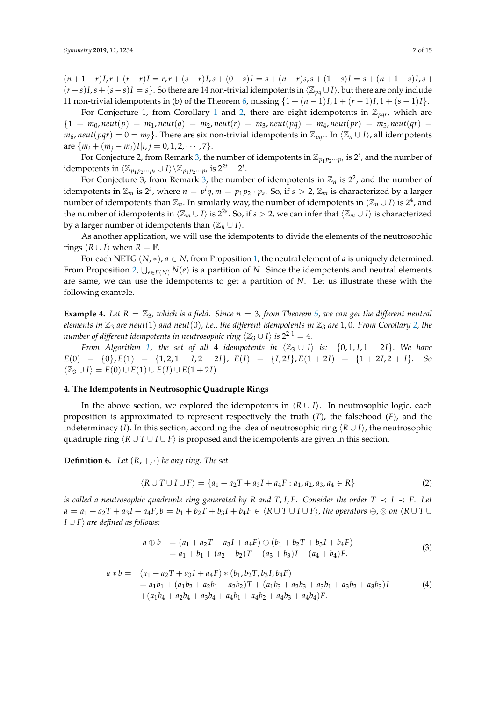$(n+1-r)I, r+(r-r)I = r, r+(s-r)I, s+(0-s)I = s+(n-r)s, s+(1-s)I = s+(n+1-s)I, s+(1-s)I$  $(r - s)I$ ,  $s + (s - s)I = s$ . So there are 14 non-trivial idempotents in  $\langle \mathbb{Z}_{pq} \cup I \rangle$ , but there are only include 11 non-trivial idempotents in (b) of the Theorem [6,](#page-5-1) missing  $\{1 + (n-1)I, 1 + (r-1)I, 1 + (s-1)I\}$ .

For Conjecture [1](#page-4-3), from Corollary 1 and [2,](#page-4-2) there are eight idempotents in  $\mathbb{Z}_{pqr}$ , which are  ${1 = m_0, new}(p) = m_1, new(q) = m_2, new(r) = m_3, new(pq) = m_4, new(pr) = m_5, new(qr) =$ *m*<sub>6</sub>, *neut*(*pqr*) = 0 = *m*<sub>7</sub>}. There are six non-trivial idempotents in  $\mathbb{Z}_{pqr}$ . In  $\langle \mathbb{Z}_n \cup I \rangle$ , all idempotents are  $\{m_i + (m_i - m_i)I|i, j = 0, 1, 2, \cdots, 7\}.$ 

For Conjecture 2, from Remark [3,](#page-4-1) the number of idempotents in  $\mathbb{Z}_{p_1p_2\cdots p_t}$  is  $2^t$ , and the number of idempotents in  $\langle \mathbb{Z}_{p_1 p_2 \cdots p_t} \cup I \rangle \setminus \mathbb{Z}_{p_1 p_2 \cdots p_t}$  is  $2^{2t} - 2^t$ .

For Conjecture [3,](#page-4-1) from Remark 3, the number of idempotents in  $\mathbb{Z}_n$  is  $2^2$ , and the number of idempotents in  $\mathbb{Z}_m$  is 2<sup>*s*</sup>, where  $n = p^t q$ ,  $m = p_1 p_2 \cdot p_s$ . So, if  $s > 2$ ,  $\mathbb{Z}_m$  is characterized by a larger number of idempotents than  $\mathbb{Z}_n$ . In similarly way, the number of idempotents in  $\langle \mathbb{Z}_n\cup I\rangle$  is 2<sup>4</sup>, and the number of idempotents in  $\langle \mathbb{Z}_m \cup I \rangle$  is 2<sup>2*s*</sup>. So, if *s* > 2, we can infer that  $\langle \mathbb{Z}_m \cup I \rangle$  is characterized by a larger number of idempotents than  $\langle \mathbb{Z}_n \cup I \rangle$ .

As another application, we will use the idempotents to divide the elements of the neutrosophic rings  $\langle R \cup I \rangle$  when  $R = \mathbb{F}$ .

For each NETG  $(N, *)$ ,  $a \in N$ , from Proposition [1,](#page-2-2) the neutral element of *a* is uniquely determined. From Proposition [2,](#page-2-4) S *<sup>e</sup>*∈*E*(*N*) *N*(*e*) is a partition of *N*. Since the idempotents and neutral elements are same, we can use the idempotents to get a partition of *N*. Let us illustrate these with the following example.

<span id="page-6-1"></span>**Example 4.** Let  $R = \mathbb{Z}_3$ , which is a field. Since  $n = 3$ , from Theorem [5,](#page-4-0) we can get the different neutral *elements in*  $\mathbb{Z}_3$  *are neut*(1) *and neut*(0), *i.e.*, *the different idempotents in*  $\mathbb{Z}_3$  *are* 1,0. From Corollary [2,](#page-4-2) the *number of different idempotents in neutrosophic ring*  $\langle \mathbb{Z}_3 \cup I \rangle$  *is* 2<sup>2·1</sup>  $=$  4*.* 

*From Algorithm [1,](#page-5-0) the set of all 4 idempotents in*  $\langle \mathbb{Z}_3 \cup I \rangle$  *is:*  $\{0, 1, I, 1 + 2I\}$ . We have  $E(0) = \{0\}, E(1) = \{1, 2, 1 + I, 2 + 2I\}, E(1) = \{I, 2I\}, E(1 + 2I) = \{1 + 2I, 2 + I\}.$  So  $\langle \mathbb{Z}_3 \cup I \rangle = E(0) \cup E(1) \cup E(I) \cup E(1 + 2I).$ 

#### <span id="page-6-0"></span>**4. The Idempotents in Neutrosophic Quadruple Rings**

In the above section, we explored the idempotents in  $\langle R \cup I \rangle$ . In neutrosophic logic, each proposition is approximated to represent respectively the truth (*T*), the falsehood (*F*), and the indeterminacy (*I*). In this section, according the idea of neutrosophic ring  $\langle R \cup I \rangle$ , the neutrosophic quadruple ring  $\langle R \cup T \cup I \cup F \rangle$  is proposed and the idempotents are given in this section.

**Definition 6.** *Let*  $(R, +, \cdot)$  *be any ring. The set* 

$$
\langle R \cup T \cup I \cup F \rangle = \{a_1 + a_2T + a_3I + a_4F : a_1, a_2, a_3, a_4 \in R\}
$$
 (2)

*is called a neutrosophic quadruple ring generated by*  $R$  *and*  $T$ ,  $I$ ,  $F$ . Consider the order  $T \prec I \prec F$ . Let  $a = a_1 + a_2T + a_3I + a_4F$ ,  $b = b_1 + b_2T + b_3I + b_4F \in \langle R \cup T \cup I \cup F \rangle$ , the operators  $\oplus$ ,  $\otimes$  on  $\langle R \cup T \cup$ *I*  $\cup$  *F* $\rangle$  *are defined as follows:* 

$$
a \oplus b = (a_1 + a_2T + a_3I + a_4F) \oplus (b_1 + b_2T + b_3I + b_4F)
$$
  
=  $a_1 + b_1 + (a_2 + b_2)T + (a_3 + b_3)I + (a_4 + b_4)F.$  (3)

$$
a * b = (a_1 + a_2T + a_3I + a_4F) * (b_1, b_2T, b_3I, b_4F)
$$
  
=  $a_1b_1 + (a_1b_2 + a_2b_1 + a_2b_2)T + (a_1b_3 + a_2b_3 + a_3b_1 + a_3b_2 + a_3b_3)I$   
+  $(a_1b_4 + a_2b_4 + a_3b_4 + a_4b_1 + a_4b_2 + a_4b_3 + a_4b_4)F$ . (4)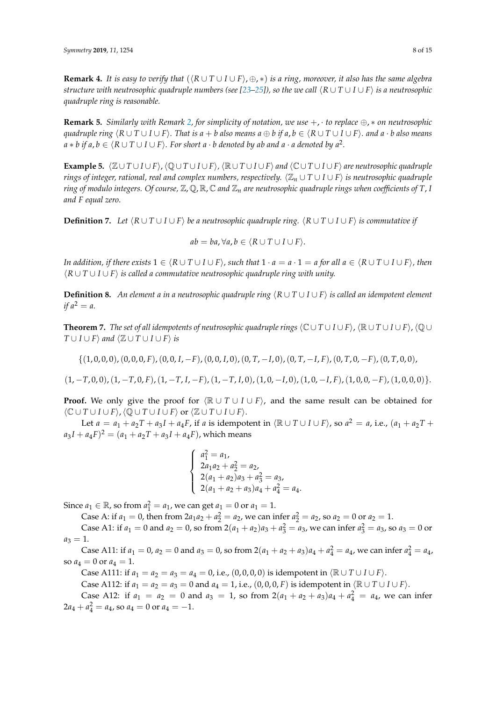**Remark 4.** It is easy to verify that  $(\langle R \cup T \cup I \cup F \rangle, \oplus, *)$  is a ring, moreover, it also has the same algebra *structure with neutrosophic quadruple numbers (see [\[23](#page-14-16)[–25\]](#page-14-17)), so the we call*  $\langle R \cup T \cup I \cup F \rangle$  *is a neutrosophic quadruple ring is reasonable.*

**Remark 5.** *Similarly with Remark [2,](#page-1-1) for simplicity of notation, we use* +, · *to replace* ⊕, ∗ *on neutrosophic* quadruple ring  $(R \cup T \cup I \cup F)$ . That is  $a + b$  also means  $a \oplus b$  if  $a, b \in (R \cup T \cup I \cup F)$ . and  $a \cdot b$  also means  $a * b$  if  $a, b \in \langle R \cup T \cup I \cup F \rangle.$  For short  $a \cdot b$  denoted by ab and  $a \cdot a$  denoted by  $a^2.$ 

**Example 5.**  $\langle \mathbb{Z} \cup T \cup I \cup F \rangle$ ,  $\langle \mathbb{Q} \cup T \cup I \cup F \rangle$  and  $\langle \mathbb{C} \cup T \cup I \cup F \rangle$  are neutrosophic quadruple *rings of integer, rational, real and complex numbers, respectively.*  $\langle \mathbb{Z}_n \cup T \cup I \cup F \rangle$  *is neutrosophic quadruple ring of modulo integers. Of course,*  $\mathbb{Z}$ ,  $\mathbb{Q}$ ,  $\mathbb{R}$ ,  $\mathbb{C}$  and  $\mathbb{Z}_n$  are neutrosophic quadruple rings when coefficients of T, I *and F equal zero.*

**Definition 7.** Let  $\langle R \cup T \cup I \cup F \rangle$  be a neutrosophic quadruple ring.  $\langle R \cup T \cup I \cup F \rangle$  is commutative if

$$
ab = ba, \forall a, b \in \langle R \cup T \cup I \cup F \rangle.
$$

*In addition, if there exists*  $1 \in \langle R \cup T \cup I \cup F \rangle$ *, such that*  $1 \cdot a = a \cdot 1 = a$  for all  $a \in \langle R \cup T \cup I \cup F \rangle$ *, then*  $\langle R \cup T \cup I \cup F \rangle$  *is called a commutative neutrosophic quadruple ring with unity.* 

**Definition 8.** *An element a in a neutrosophic quadruple ring*  $\langle R \cup T \cup I \cup F \rangle$  *is called an idempotent element if*  $a^2 = a$ .

**Theorem 7.** The set of all idempotents of neutrosophic quadruple rings  $\langle \mathbb{C} \cup T \cup I \cup F \rangle$ ,  $\langle \mathbb{R} \cup T \cup I \cup F \rangle$ ,  $\langle \mathbb{Q} \cup T \cup F \rangle$ *T* ∪ *I* ∪ *F* $\rangle$  *and*  $\langle \mathbb{Z} \cup T \cup I \cup F \rangle$  *is* 

{(1, 0, 0, 0),(0, 0, 0, *F*),(0, 0, *I*, −*F*),(0, 0, *I*, 0),(0, *T*, −*I*, 0),(0, *T*, −*I*, *F*),(0, *T*, 0, −*F*),(0, *T*, 0, 0),

 $(1, -T, 0, 0), (1, -T, 0, F), (1, -T, I, -F), (1, -T, I, 0), (1, 0, -I, 0), (1, 0, -I, F), (1, 0, 0, -F), (1, 0, 0, 0)$ .

**Proof.** We only give the proof for  $\langle \mathbb{R} \cup T \cup I \cup F \rangle$ , and the same result can be obtained for  $\langle \mathbb{C} \cup T \cup I \cup F \rangle$ ,  $\langle \mathbb{Q} \cup T \cup I \cup F \rangle$  or  $\langle \mathbb{Z} \cup T \cup I \cup F \rangle$ .

Let  $a = a_1 + a_2T + a_3I + a_4F$ , if *a* is idempotent in  $\langle \mathbb{R} \cup T \cup I \cup F \rangle$ , so  $a^2 = a$ , i.e.,  $(a_1 + a_2T + a_3T + a_4F)$  $a_3 I + a_4 F)^2 = (a_1 + a_2 T + a_3 I + a_4 F)$ , which means

$$
\begin{cases}\na_1^2 = a_1, \\
2a_1a_2 + a_2^2 = a_2, \\
2(a_1 + a_2)a_3 + a_3^2 = a_3, \\
2(a_1 + a_2 + a_3)a_4 + a_4^2 = a_4.\n\end{cases}
$$

Since  $a_1 \in \mathbb{R}$ , so from  $a_1^2 = a_1$ , we can get  $a_1 = 0$  or  $a_1 = 1$ .

Case A: if  $a_1 = 0$ , then from  $2a_1a_2 + a_2^2 = a_2$ , we can infer  $a_2^2 = a_2$ , so  $a_2 = 0$  or  $a_2 = 1$ . Case A1: if  $a_1 = 0$  and  $a_2 = 0$ , so from  $2(a_1 + a_2)a_3 + a_3^2 = a_3$ , we can infer  $a_3^2 = a_3$ , so  $a_3 = 0$  or

$$
a_3=1.
$$

Case A11: if  $a_1 = 0$ ,  $a_2 = 0$  and  $a_3 = 0$ , so from  $2(a_1 + a_2 + a_3)a_4 + a_4^2 = a_4$ , we can infer  $a_4^2 = a_4$ , so  $a_4 = 0$  or  $a_4 = 1$ .

Case A111: if  $a_1 = a_2 = a_3 = a_4 = 0$ , i.e.,  $(0, 0, 0, 0)$  is idempotent in  $\langle \mathbb{R} \cup T \cup I \cup F \rangle$ .

Case A112: if *a*<sub>1</sub> = *a*<sub>2</sub> = *a*<sub>3</sub> = 0 and *a*<sub>4</sub> = 1, i.e., (0, 0, 0, *F*) is idempotent in  $\langle \mathbb{R} \cup T \cup I \cup F \rangle$ .

Case A12: if  $a_1 = a_2 = 0$  and  $a_3 = 1$ , so from  $2(a_1 + a_2 + a_3)a_4 + a_4^2 = a_4$ , we can infer  $2a_4 + a_4^2 = a_4$ , so  $a_4 = 0$  or  $a_4 = -1$ .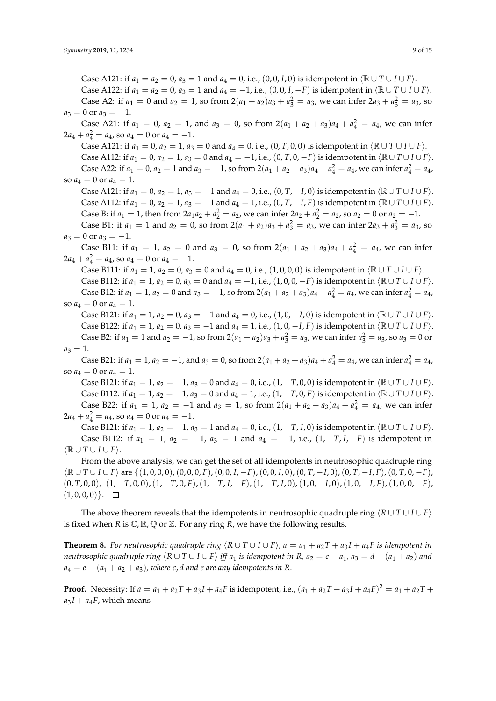Case A121: if  $a_1 = a_2 = 0$ ,  $a_3 = 1$  and  $a_4 = 0$ , i.e., (0, 0, *I*, 0) is idempotent in  $\langle \mathbb{R} \cup T \cup I \cup F \rangle$ . Case A122: if *a*<sub>1</sub> = *a*<sub>2</sub> = 0, *a*<sub>3</sub> = 1 and *a*<sub>4</sub> = −1, i.e., (0, 0, *I*, −*F*) is idempotent in  $\langle \mathbb{R} \cup T \cup I \cup F \rangle$ . Case A2: if  $a_1 = 0$  and  $a_2 = 1$ , so from  $2(a_1 + a_2)a_3 + a_3^2 = a_3$ , we can infer  $2a_3 + a_3^2 = a_3$ , so  $a_3 = 0$  or  $a_3 = -1$ . Case A21: if  $a_1 = 0$ ,  $a_2 = 1$ , and  $a_3 = 0$ , so from  $2(a_1 + a_2 + a_3)a_4 + a_4^2 = a_4$ , we can infer  $2a_4 + a_4^2 = a_4$ , so  $a_4 = 0$  or  $a_4 = -1$ . Case A121: if *a*<sub>1</sub> = 0, *a*<sub>2</sub> = 1, *a*<sub>3</sub> = 0 and *a*<sub>4</sub> = 0, i.e., (0, *T*, 0, 0) is idempotent in  $\langle \mathbb{R} \cup T \cup I \cup F \rangle$ . Case A112: if  $a_1 = 0$ ,  $a_2 = 1$ ,  $a_3 = 0$  and  $a_4 = -1$ , i.e.,  $(0, T, 0, -F)$  is idempotent in  $\langle \mathbb{R} \cup T \cup I \cup F \rangle$ . Case A22: if  $a_1 = 0$ ,  $a_2 = 1$  and  $a_3 = -1$ , so from  $2(a_1 + a_2 + a_3)a_4 + a_4^2 = a_4$ , we can infer  $a_4^2 = a_4$ , so  $a_4 = 0$  or  $a_4 = 1$ . Case A121: if  $a_1 = 0$ ,  $a_2 = 1$ ,  $a_3 = −1$  and  $a_4 = 0$ , i.e.,  $(0, T, -I, 0)$  is idempotent in  $\langle \mathbb{R} \cup T \cup I \cup F \rangle$ . Case A112: if  $a_1 = 0$ ,  $a_2 = 1$ ,  $a_3 = −1$  and  $a_4 = 1$ , i.e.,  $(0, T, -I, F)$  is idempotent in  $\langle \mathbb{R} \cup T \cup I \cup F \rangle$ . Case B: if  $a_1 = 1$ , then from  $2a_1a_2 + a_2^2 = a_2$ , we can infer  $2a_2 + a_2^2 = a_2$ , so  $a_2 = 0$  or  $a_2 = -1$ . Case B1: if  $a_1 = 1$  and  $a_2 = 0$ , so from  $2(a_1 + a_2)a_3 + a_3^2 = a_3$ , we can infer  $2a_3 + a_3^2 = a_3$ , so  $a_3 = 0$  or  $a_3 = -1$ . Case B11: if  $a_1 = 1$ ,  $a_2 = 0$  and  $a_3 = 0$ , so from  $2(a_1 + a_2 + a_3)a_4 + a_4^2 = a_4$ , we can infer  $2a_4 + a_4^2 = a_4$ , so  $a_4 = 0$  or  $a_4 = -1$ . Case B111: if  $a_1 = 1$ ,  $a_2 = 0$ ,  $a_3 = 0$  and  $a_4 = 0$ , i.e.,  $(1, 0, 0, 0)$  is idempotent in  $\langle \mathbb{R} \cup T \cup I \cup F \rangle$ . Case B112: if  $a_1 = 1$ ,  $a_2 = 0$ ,  $a_3 = 0$  and  $a_4 = -1$ , i.e.,  $(1,0,0,-F)$  is idempotent in  $\langle \mathbb{R} \cup T \cup I \cup F \rangle$ . Case B12: if  $a_1 = 1$ ,  $a_2 = 0$  and  $a_3 = -1$ , so from  $2(a_1 + a_2 + a_3)a_4 + a_4^2 = a_4$ , we can infer  $a_4^2 = a_4$ , so  $a_4 = 0$  or  $a_4 = 1$ . Case B121: if  $a_1 = 1$ ,  $a_2 = 0$ ,  $a_3 = -1$  and  $a_4 = 0$ , i.e.,  $(1, 0, -1, 0)$  is idempotent in  $\langle \mathbb{R} \cup T \cup I \cup F \rangle$ . Case B122: if  $a_1 = 1$ ,  $a_2 = 0$ ,  $a_3 = −1$  and  $a_4 = 1$ , i.e.,  $(1, 0, -I, F)$  is idempotent in  $\langle \mathbb{R} \cup T \cup I \cup F \rangle$ . Case B2: if  $a_1 = 1$  and  $a_2 = -1$ , so from  $2(a_1 + a_2)a_3 + a_3^2 = a_3$ , we can infer  $a_3^2 = a_3$ , so  $a_3 = 0$  or  $a_3 = 1.$ Case B21: if  $a_1 = 1$ ,  $a_2 = -1$ , and  $a_3 = 0$ , so from  $2(a_1 + a_2 + a_3)a_4 + a_4^2 = a_4$ , we can infer  $a_4^2 = a_4$ , so  $a_4 = 0$  or  $a_4 = 1$ . Case B121: if  $a_1 = 1$ ,  $a_2 = -1$ ,  $a_3 = 0$  and  $a_4 = 0$ , i.e.,  $(1, -T, 0, 0)$  is idempotent in  $\langle \mathbb{R} \cup T \cup I \cup F \rangle$ . Case B112: if  $a_1 = 1$ ,  $a_2 = -1$ ,  $a_3 = 0$  and  $a_4 = 1$ , i.e.,  $(1, -T, 0, F)$  is idempotent in  $\langle \mathbb{R} \cup T \cup I \cup F \rangle$ . Case B22: if  $a_1 = 1$ ,  $a_2 = -1$  and  $a_3 = 1$ , so from  $2(a_1 + a_2 + a_3)a_4 + a_4^2 = a_4$ , we can infer  $2a_4 + a_4^2 = a_4$ , so  $a_4 = 0$  or  $a_4 = -1$ . Case B121: if  $a_1 = 1$ ,  $a_2 = -1$ ,  $a_3 = 1$  and  $a_4 = 0$ , i.e.,  $(1, -T, I, 0)$  is idempotent in  $\langle \mathbb{R} \cup T \cup I \cup F \rangle$ . Case B112: if  $a_1 = 1$ ,  $a_2 = -1$ ,  $a_3 = 1$  and  $a_4 = -1$ , i.e.,  $(1, -T, I, -F)$  is idempotent in  $\langle \mathbb{R} \cup T \cup I \cup F \rangle$ . From the above analysis, we can get the set of all idempotents in neutrosophic quadruple ring hR ∪ *T* ∪ *I* ∪ *F*i are {(1, 0, 0, 0),(0, 0, 0, *F*),(0, 0, *I*, −*F*),(0, 0, *I*, 0),(0, *T*, −*I*, 0),(0, *T*, −*I*, *F*),(0, *T*, 0, −*F*), (0, *T*, 0, 0), (1, −*T*, 0, 0),(1, −*T*, 0, *F*),(1, −*T*, *I*, −*F*),(1, −*T*, *I*, 0),(1, 0, −*I*, 0),(1, 0, −*I*, *F*),(1, 0, 0, −*F*),  $(1, 0, 0, 0)$ .  $\Box$ 

The above theorem reveals that the idempotents in neutrosophic quadruple ring  $\langle R \cup T \cup I \cup F \rangle$ is fixed when *R* is  $\mathbb{C}, \mathbb{R}, \mathbb{Q}$  or  $\mathbb{Z}$ . For any ring *R*, we have the following results.

<span id="page-8-0"></span>**Theorem 8.** For neutrosophic quadruple ring  $\langle R \cup T \cup I \cup F \rangle$ ,  $a = a_1 + a_2T + a_3I + a_4F$  is idempotent in neutrosophic quadruple ring  $(R \cup T \cup I \cup F)$  iff  $a_1$  is idempotent in R,  $a_2 = c - a_1$ ,  $a_3 = d - (a_1 + a_2)$  and  $a_4 = e - (a_1 + a_2 + a_3)$ , where c, *d* and *e* are any idempotents in R.

**Proof.** Necessity: If  $a = a_1 + a_2T + a_3I + a_4F$  is idempotent, i.e.,  $(a_1 + a_2T + a_3I + a_4F)^2 = a_1 + a_2T + a_3F$  $a_3 I + a_4 F$ , which means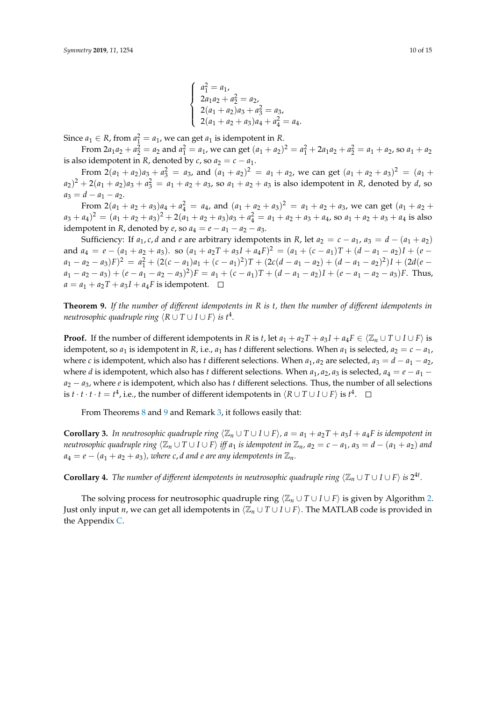$$
\begin{cases}\na_1^2 = a_1, \\
2a_1a_2 + a_2^2 = a_2, \\
2(a_1 + a_2)a_3 + a_3^2 = a_3, \\
2(a_1 + a_2 + a_3)a_4 + a_4^2 = a_4.\n\end{cases}
$$

Since  $a_1 \in R$ , from  $a_1^2 = a_1$ , we can get  $a_1$  is idempotent in *R*.

From  $2a_1a_2 + a_2^2 = a_2$  and  $a_1^2 = a_1$ , we can get  $(a_1 + a_2)^2 = a_1^2 + 2a_1a_2 + a_2^2 = a_1 + a_2$ , so  $a_1 + a_2$ is also idempotent in *R*, denoted by *c*, so  $a_2 = c - a_1$ .

From  $2(a_1 + a_2)a_3 + a_3^2 = a_3$ , and  $(a_1 + a_2)^2 = a_1 + a_2$ , we can get  $(a_1 + a_2 + a_3)^2 = (a_1 + a_2)^2$  $(a_2)^2 + 2(a_1 + a_2)a_3 + a_3^2 = a_1 + a_2 + a_3$ , so  $a_1 + a_2 + a_3$  is also idempotent in *R*, denoted by *d*, so  $a_3 = d - a_1 - a_2.$ 

From  $2(a_1 + a_2 + a_3)a_4 + a_4^2 = a_4$ , and  $(a_1 + a_2 + a_3)^2 = a_1 + a_2 + a_3$ , we can get  $(a_1 + a_2 + a_3)^2 = a_1 + a_2 + a_3$  $(a_3 + a_4)^2 = (a_1 + a_2 + a_3)^2 + 2(a_1 + a_2 + a_3)a_3 + a_4^2 = a_1 + a_2 + a_3 + a_4$ , so  $a_1 + a_2 + a_3 + a_4$  is also idempotent in *R*, denoted by *e*, so  $a_4 = e - a_1 - a_2 - a_3$ .

Sufficiency: If  $a_1, c, d$  and  $e$  are arbitrary idempotents in *R*, let  $a_2 = c - a_1$ ,  $a_3 = d - (a_1 + a_2)$ and  $a_4 = e - (a_1 + a_2 + a_3)$ . so  $(a_1 + a_2T + a_3I + a_4F)^2 = (a_1 + (c - a_1)T + (d - a_1 - a_2)I + (e - a_1)T)$  $a_1 - a_2 - a_3$  $F$  $^2 = a_1^2 + (2(c - a_1)a_1 + (c - a_1)^2)T + (2c(d - a_1 - a_2) + (d - a_1 - a_2)^2)I + (2d(e - a_1)^2)T + (d - a_1)^2I$  $a_1 - a_2 - a_3$ ) +  $(e - a_1 - a_2 - a_3)^2$ ) $F = a_1 + (c - a_1)T + (d - a_1 - a_2)I + (e - a_1 - a_2 - a_3)F$ . Thus,  $a = a_1 + a_2T + a_3I + a_4F$  is idempotent.  $\square$ 

<span id="page-9-0"></span>**Theorem 9.** *If the number of different idempotents in R is t, then the number of different idempotents in neutrosophic quadruple ring*  $\langle R \cup T \cup I \cup F \rangle$  *is t* $^4$ *.* 

**Proof.** If the number of different idempotents in *R* is *t*, let  $a_1 + a_2T + a_3I + a_4F \in \langle \mathbb{Z}_n \cup T \cup I \cup F \rangle$  is idempotent, so *a*<sub>1</sub> is idempotent in *R*, i.e., *a*<sub>1</sub> has *t* different selections. When *a*<sub>1</sub> is selected,  $a_2 = c - a_1$ , where *c* is idempotent, which also has *t* different selections. When  $a_1$ ,  $a_2$  are selected,  $a_3 = d - a_1 - a_2$ , where *d* is idempotent, which also has *t* different selections. When  $a_1$ ,  $a_2$ ,  $a_3$  is selected,  $a_4 = e - a_1$ *a*<sup>2</sup> − *a*3, where *e* is idempotent, which also has *t* different selections. Thus, the number of all selections is *t* · *t* · *t* · *t* = *t*<sup>4</sup>, i.e., the number of different idempotents in  $\langle R \cup T \cup I \cup F \rangle$  is *t*<sup>4</sup>.

From Theorems [8](#page-8-0) and [9](#page-9-0) and Remark [3,](#page-4-1) it follows easily that:

**Corollary 3.** In neutrosophic quadruple ring  $\langle \mathbb{Z}_n \cup T \cup I \cup F \rangle$ ,  $a = a_1 + a_2T + a_3I + a_4F$  is idempotent in neutrosophic quadruple ring  $\langle \mathbb{Z}_n \cup T \cup I \cup F \rangle$  iff  $a_1$  is idempotent in  $\mathbb{Z}_n$ ,  $a_2 = c - a_1$ ,  $a_3 = d - (a_1 + a_2)$  and  $a_4 = e - (a_1 + a_2 + a_3)$ , where c, *d* and *e* are any idempotents in  $\mathbb{Z}_n$ .

<span id="page-9-1"></span>**Corollary 4.** The number of different idempotents in neutrosophic quadruple ring  $\langle \mathbb{Z}_n \cup T \cup I \cup F \rangle$  is  $2^{4t}$ .

The solving process for neutrosophic quadruple ring  $\langle \mathbb{Z}_n \cup T \cup I \cup F \rangle$  is given by Algorithm [2.](#page-10-0) Just only input *n*, we can get all idempotents in  $\langle \mathbb{Z}_n \cup T \cup I \cup F \rangle$ . The MATLAB code is provided in the Appendix [C.](#page-13-5)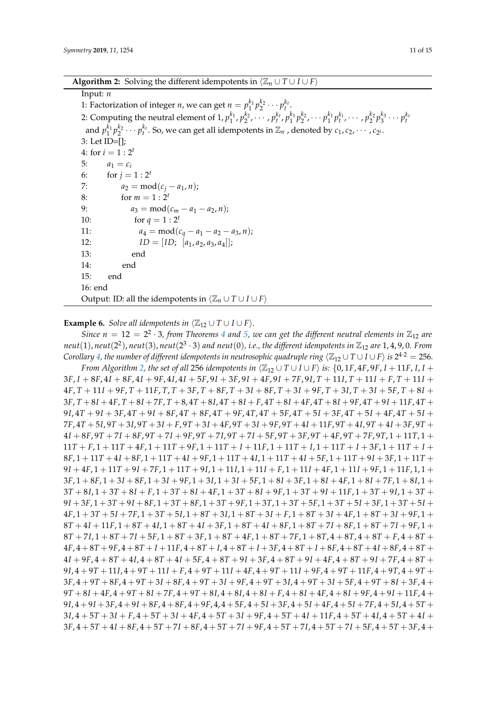**Algorithm 2:** Solving the different idempotents in  $\langle \mathbb{Z}_n \cup T \cup I \cup F \rangle$ 

## <span id="page-10-0"></span>Input: *n*

1: Factorization of integer *n*, we can get  $n = p_1^{k_1} p_2^{k_2} \cdots p_t^{k_t}$ . 2: Computing the neutral element of  $1, p_1^{k_1}, p_2^{k_2}, \cdots, p_t^{k_t}, p_1^{k_1}p_2^{k_2}, \cdots p_1^{k_1}p_t^{k_t}, \cdots, p_2^{k_2}p_3^{k_3}\cdots p_t^{k_t}$ and  $p_1^{k_1}p_2^{k_2}\cdots p_t^{k_t}$ . So, we can get all idempotents in  $\mathbb{Z}_n$  , denoted by  $c_1, c_2, \cdots, c_{2^t}.$ 3: Let ID=[]; 4: for  $i = 1 : 2^t$ 5:  $a_1 = c_i$ 6: for  $j = 1 : 2^t$ 7:  $a_2 = mod(c_j - a_1, n);$ 8: for  $m = 1 : 2^t$ 9:  $a_3 = \text{mod}(c_m - a_1 - a_2, n);$ 10: for  $q = 1 : 2^t$ 11:  $a_4 = \text{mod}(c_q - a_1 - a_2 - a_3, n);$ 12:  $ID = [ID; [a_1, a_2, a_3, a_4];$ 13: end 14: end 15: end 16: end Output: ID: all the idempotents in  $\langle \mathbb{Z}_n \cup T \cup I \cup F \rangle$ 

**Example 6.** *Solve all idempotents in*  $\langle \mathbb{Z}_{12} \cup T \cup I \cup F \rangle$ *.* 

*Since*  $n = 12 = 2^2 \cdot 3$ , from Theorems [4](#page-3-2) and [5,](#page-4-0) we can get the different neutral elements in  $\mathbb{Z}_{12}$  are neut $(1)$ ,  $neut(2^2)$ ,  $neut(3)$ ,  $neut(2^3\cdot3)$  and  $neut(0)$ , i.e., the different idempotents in  $\mathbb{Z}_{12}$  are  $1,4,9,0$ . From  $C$ orollary  $4$ , the number of different idempotents in neutrosophic quadruple ring  $\langle\mathbb{Z}_{12}\cup T\cup I\cup F\rangle$  is  $2^{4\cdot 2}=256$ .

*From Algorithm [2,](#page-10-0) the set of all 256 idempotents in*  $\langle \mathbb{Z}_{12} \cup T \cup I \cup F \rangle$  *is:*  $\{0, 1F, 4F, 9F, I + 11F, I, I + 11F\}$  $3F, I + 8F, 4I + 8F, 4I + 9F, 4I, 4I + 5F, 9I + 3F, 9I + 4F, 9I + 7F, 9I, T + 11I, T + 11I + F, T + 11I +$  $4F, T+11I+9F, T+11F, T, T+3F, T+8F, T+3I+8F, T+3I+9F, T+3I, T+3I+5F, T+8I+$  $3F$ ,  $T + 8I + 4F$ ,  $T + 8I + 7F$ ,  $T + 8$ ,  $4T + 8I$ ,  $4T + 8I + F$ ,  $4T + 8I + 4F$ ,  $4T + 8I + 9F$ ,  $4T + 9I + 11F$ ,  $4T +$  $9I, 4T + 9I + 3F, 4T + 9I + 8F, 4T + 8F, 4T + 9F, 4T, 4T + 5F, 4T + 5I + 3F, 4T + 5I + 4F, 4T + 5I +$  $7F_14T + 5I_29T + 3I_19T + 3I_1 + F_29T + 3I_14F_29T + 3I_19F_19T + 4I_11F_19T + 4I_19T + 4I_13F_19T +$  $4I + 8F, 9T + 7I + 8F, 9T + 7I + 9F, 9T + 7I, 9T + 7I + 5F, 9T + 3F, 9T + 4F, 9T + 7F, 9T, 1 + 11T, 1 +$  $11T + F$ ,  $1 + 11T + 4F$ ,  $1 + 11T + 9F$ ,  $1 + 11T + I + 11F$ ,  $1 + 11T + I$ ,  $1 + 11T + I + 3F$ ,  $1 + 11T + I + I$ 8*F*, 1 + 11*T* + 4*I* + 8*F*, 1 + 11*T* + 4*I* + 9*F*, 1 + 11*T* + 4*I*, 1 + 11*T* + 4*I* + 5*F*, 1 + 11*T* + 9*I* + 3*F*, 1 + 11*T* + 9*I* + 4*F*, 1 + 11*T* + 9*I* + 7*F*, 1 + 11*T* + 9*I*, 1 + 11*I*, 1 + 11*I* + *F*, 1 + 11*I* + 4*F*, 1 + 11*I* + 9*F*, 1 + 11*F*, 1, 1 + 3*F*, 1 + 8*F*, 1 + 3*I* + 8*F*, 1 + 3*I* + 9*F*, 1 + 3*I*, 1 + 3*I* + 5*F*, 1 + 8*I* + 3*F*, 1 + 8*I* + 4*F*, 1 + 8*I* + 7*F*, 1 + 8*I*, 1 + 3*T* + 8*I*, 1 + 3*T* + 8*I* + *F*, 1 + 3*T* + 8*I* + 4*F*, 1 + 3*T* + 8*I* + 9*F*, 1 + 3*T* + 9*I* + 11*F*, 1 + 3*T* + 9*I*, 1 + 3*T* + 9*I* + 3*F*, 1 + 3*T* + 9*I* + 8*F*, 1 + 3*T* + 8*F*, 1 + 3*T* + 9*F*, 1 + 3*T*, 1 + 3*T* + 5*F*, 1 + 3*T* + 5*I* + 3*F*, 1 + 3*T* + 5*I* + 4*F*, 1 + 3*T* + 5*I* + 7*F*, 1 + 3*T* + 5*I*, 1 + 8*T* + 3*I*, 1 + 8*T* + 3*I* + *F*, 1 + 8*T* + 3*I* + 4*F*, 1 + 8*T* + 3*I* + 9*F*, 1 + 8*T* + 4*I* + 11*F*, 1 + 8*T* + 4*I*, 1 + 8*T* + 4*I* + 3*F*, 1 + 8*T* + 4*I* + 8*F*, 1 + 8*T* + 7*I* + 8*F*, 1 + 8*T* + 7*I* + 9*F*, 1 + 8*T* + 7*I*, 1 + 8*T* + 7*I* + 5*F*, 1 + 8*T* + 3*F*, 1 + 8*T* + 4*F*, 1 + 8*T* + 7*F*, 1 + 8*T*, 4 + 8*T*, 4 + 8*T* + *F*, 4 + 8*T* +  $4F, 4+8T+9F, 4+8T+I+11F, 4+8T+I, 4+8T+I+3F, 4+8T+I+8F, 4+8T+4I+8F, 4+8T+$ 4*I* + 9*F*, 4 + 8*T* + 4*I*, 4 + 8*T* + 4*I* + 5*F*, 4 + 8*T* + 9*I* + 3*F*, 4 + 8*T* + 9*I* + 4*F*, 4 + 8*T* + 9*I* + 7*F*, 4 + 8*T* + 9*I*, 4 + 9*T* + 11*I*, 4 + 9*T* + 11*I* + *F*, 4 + 9*T* + 11*I* + 4*F*, 4 + 9*T* + 11*I* + 9*F*, 4 + 9*T* + 11*F*, 4 + 9*T*, 4 + 9*T* + 3*F*, 4 + 9*T* + 8*F*, 4 + 9*T* + 3*I* + 8*F*, 4 + 9*T* + 3*I* + 9*F*, 4 + 9*T* + 3*I*, 4 + 9*T* + 3*I* + 5*F*, 4 + 9*T* + 8*I* + 3*F*, 4 +  $9T + 8I + 4F$ ,  $4 + 9T + 8I + 7F$ ,  $4 + 9T + 8I$ ,  $4 + 8I$ ,  $4 + 8I + F$ ,  $4 + 8I + 4F$ ,  $4 + 8I + 9F$ ,  $4 + 9I + 11F$ ,  $4 +$ 9*I*, 4 + 9*I* + 3*F*, 4 + 9*I* + 8*F*, 4 + 8*F*, 4 + 9*F*, 4, 4 + 5*F*, 4 + 5*I* + 3*F*, 4 + 5*I* + 4*F*, 4 + 5*I* + 7*F*, 4 + 5*I*, 4 + 5*T* + 3*I*, 4 + 5*T* + 3*I* + *F*, 4 + 5*T* + 3*I* + 4*F*, 4 + 5*T* + 3*I* + 9*F*, 4 + 5*T* + 4*I* + 11*F*, 4 + 5*T* + 4*I*, 4 + 5*T* + 4*I* + 3*F*, 4 + 5*T* + 4*I* + 8*F*, 4 + 5*T* + 7*I* + 8*F*, 4 + 5*T* + 7*I* + 9*F*, 4 + 5*T* + 7*I*, 4 + 5*T* + 7*I* + 5*F*, 4 + 5*T* + 3*F*, 4 +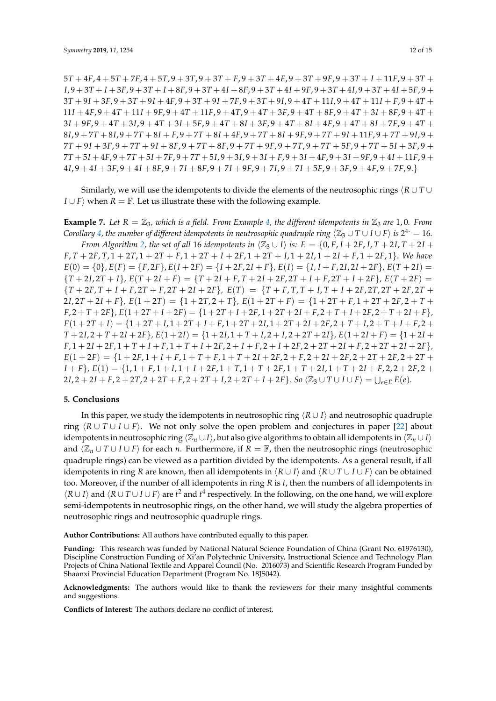*T* + 4*F*, 4 + 5*T* + 7*F*, 4 + 5*T*, 9 + 3*T*, 9 + 3*T* + *F*, 9 + 3*T* + 4*F*, 9 + 3*T* + 9*F*, 9 + 3*T* + *I* + 11*F*, 9 + 3*T* +  $I, 9+3T+I+3F, 9+3T+I+8F, 9+3T+4I+8F, 9+3T+4I+9F, 9+3T+4I, 9+3T+4I+5F, 9+$ *T* + 9*I* + 3*F*, 9 + 3*T* + 9*I* + 4*F*, 9 + 3*T* + 9*I* + 7*F*, 9 + 3*T* + 9*I*, 9 + 4*T* + 11*I*, 9 + 4*T* + 11*I* + *F*, 9 + 4*T* + *I* + 4*F*, 9 + 4*T* + 11*I* + 9*F*, 9 + 4*T* + 11*F*, 9 + 4*T*, 9 + 4*T* + 3*F*, 9 + 4*T* + 8*F*, 9 + 4*T* + 3*I* + 8*F*, 9 + 4*T* + *I* + 9*F*, 9 + 4*T* + 3*I*, 9 + 4*T* + 3*I* + 5*F*, 9 + 4*T* + 8*I* + 3*F*, 9 + 4*T* + 8*I* + 4*F*, 9 + 4*T* + 8*I* + 7*F*, 9 + 4*T* +  $8I, 9 + 7T + 8I, 9 + 7T + 8I + F, 9 + 7T + 8I + 4F, 9 + 7T + 8I + 9F, 9 + 7T + 9I + 11F, 9 + 7T + 9I, 9 + 11F$ *T* + 9*I* + 3*F*, 9 + 7*T* + 9*I* + 8*F*, 9 + 7*T* + 8*F*, 9 + 7*T* + 9*F*, 9 + 7*T*, 9 + 7*T* + 5*F*, 9 + 7*T* + 5*I* + 3*F*, 9 +  $7T + 5I + 4F$ ,  $9 + 7T + 5I + 7F$ ,  $9 + 7T + 5I$ ,  $9 + 3I$ ,  $9 + 3I + F$ ,  $9 + 3I + 4F$ ,  $9 + 3I + 9F$ ,  $9 + 4I + 11F$ ,  $9 +$ *I*, 9 + 4*I* + 3*F*, 9 + 4*I* + 8*F*, 9 + 7*I* + 8*F*, 9 + 7*I* + 9*F*, 9 + 7*I*, 9 + 7*I* + 5*F*, 9 + 3*F*, 9 + 4*F*, 9 + 7*F*, 9.}

Similarly, we will use the idempotents to divide the elements of the neutrosophic rings  $\langle R \cup T \cup T \rangle$ *I* ∪ *F* $\rangle$  when *R* =  $\mathbb{F}$ . Let us illustrate these with the following example.

**Example 7.** Let  $R = \mathbb{Z}_3$ , which is a field. From Example [4,](#page-6-1) the different idempotents in  $\mathbb{Z}_3$  are 1,0. From  $C$ orollary  $4$ , the number of different idempotents in neutrosophic quadruple ring  $\langle\mathbb{Z}_3\cup T\cup I\cup F\rangle$  is  $2^{4\cdot}=16$ . *From Algorithm* [2,](#page-10-0) the set of all 16 *idempotents in*  $\langle \mathbb{Z}_3 \cup I \rangle$  *is:*  $E = \{0, F, I + 2F, I, T + 2I, T + 2I + F\}$ 

*F*, *T* + 2*F*, *T*, 1 + 2*T*, 1 + 2*T* + *F*, 1 + 2*T* + *I* + 2*F*, 1 + 2*T* + *I*, 1 + 2*I*, 1 + 2*I* + *F*, 1 + 2*F*, 1}. *We have*  $E(0) = \{0\}, E(F) = \{F, 2F\}, E(I + 2F) = \{I + 2F, 2I + F\}, E(I) = \{I, I + F, 2I, 2I + 2F\}, E(T + 2I) =$  ${T+2I,2T+I}$ ,  $E(T+2I+F) = {T+2I+F,T+2I+2F,2T+I+F,2T+I+2F}$ ,  $E(T+2F) =$  $\{T+2F, T+I+F, 2T+F, 2T+2I+2F\}, E(T) = \{T+F, T, T+I, T+I+2F, 2T, 2T+2F, 2T+F\}$  $2I$ ,  $2T + 2I + F$ ,  $E(1 + 2T) = \{1 + 2T, 2 + T\}$ ,  $E(1 + 2T + F) = \{1 + 2T + F, 1 + 2T + 2F, 2 + T + F\}$  $F, 2+T+2F$ ,  $E(1+2T+I+2F) = \{1+2T+I+2F, 1+2T+2I+F, 2+T+I+2F, 2+T+2I+F\}$ ,  $E(1+2T+I) = \{1+2T+I, 1+2T+I+F, 1+2T+2I, 1+2T+2I+2F, 2+T+I, 2+T+I+F, 2+T+I+F\}$  $T+2I$ ,  $2+T+2I+2F$ ,  $E(1+2I) = {1+2I}$ ,  $1+T+I$ ,  $2+I$ ,  $2+2T+2I$ ,  $E(1+2I+F) = {1+2I+T}$  $F, 1 + 2I + 2F, 1 + T + I + F, 1 + T + I + 2F, 2 + I + F, 2 + I + 2F, 2 + 2T + 2I + F, 2 + 2T + 2I + 2F,$  $E(1+2F) = \{1+2F, 1+I+F, 1+T+F, 1+T+2I+2F, 2+F, 2+2I+2F, 2+2T+2F, 2+2T+2F\}$  $I + F$ ,  $E(1) = \{1, 1 + F, 1 + I, 1 + I + 2F, 1 + T, 1 + T + 2F, 1 + T + 2I, 1 + T + 2I + F, 2, 2 + 2F, 2 + T\}$  $2I$ ,  $2 + 2I + F$ ,  $2 + 2T$ ,  $2 + 2T + F$ ,  $2 + 2T + I$ ,  $2 + 2T + I + 2F$ }. So  $\langle \mathbb{Z}_3 \cup T \cup I \cup F \rangle = \bigcup_{e \in E} E(e)$ .

## <span id="page-11-0"></span>**5. Conclusions**

In this paper, we study the idempotents in neutrosophic ring  $\langle R \cup I \rangle$  and neutrosophic quadruple ring  $\langle R \cup T \cup I \cup F \rangle$ . We not only solve the open problem and conjectures in paper [\[22\]](#page-14-15) about idempotents in neutrosophic ring  $\langle \mathbb{Z}_n \cup I \rangle$ , but also give algorithms to obtain all idempotents in  $\langle \mathbb{Z}_n \cup I \rangle$ and  $\langle \mathbb{Z}_n \cup T \cup I \cup F \rangle$  for each *n*. Furthermore, if  $R = \mathbb{F}$ , then the neutrosophic rings (neutrosophic quadruple rings) can be viewed as a partition divided by the idempotents. As a general result, if all idempotents in ring *R* are known, then all idempotents in  $\langle R \cup I \rangle$  and  $\langle R \cup T \cup I \cup F \rangle$  can be obtained too. Moreover, if the number of all idempotents in ring *R* is *t*, then the numbers of all idempotents in  $\langle R \cup I \rangle$  and  $\langle R \cup T \cup I \cup F \rangle$  are  $t^2$  and  $t^4$  respectively. In the following, on the one hand, we will explore semi-idempotents in neutrosophic rings, on the other hand, we will study the algebra properties of neutrosophic rings and neutrosophic quadruple rings.

**Author Contributions:** All authors have contributed equally to this paper.

**Funding:** This research was funded by National Natural Science Foundation of China (Grant No. 61976130), Discipline Construction Funding of Xi'an Polytechnic University, Instructional Science and Technology Plan Projects of China National Textile and Apparel Council (No. 2016073) and Scientific Research Program Funded by Shaanxi Provincial Education Department (Program No. 18JS042).

**Acknowledgments:** The authors would like to thank the reviewers for their many insightful comments and suggestions.

**Conflicts of Interest:** The authors declare no conflict of interest.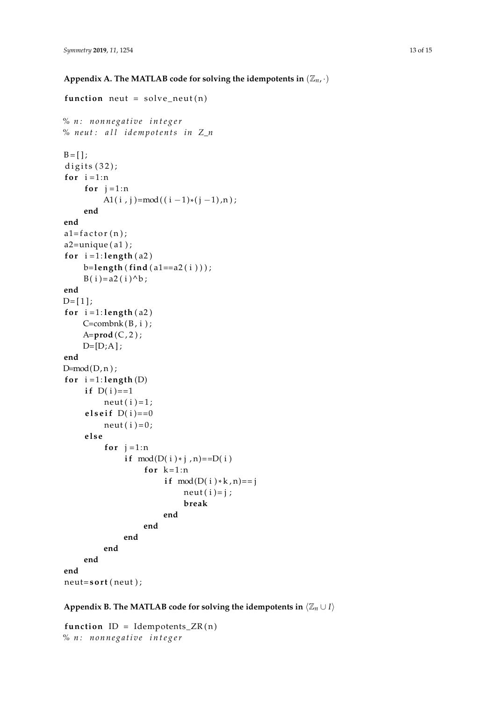```
function neut = solve neut (n)
% n : n o n n e g a ti v e i n t e g e r
% n e u t : a l l i d e m p o t e n t s i n Z_n
B = [ ];
digits (32);
for i=1:nfor j = 1:nA1(i, j)=mod((i - 1)*(j - 1),n);
    end
end
a1 = factor(n);a2 = unique(a1);for i = 1: length(a2)b=leng th ( f ind ( a1==a2 ( i ) ) ) ;
    B(i) = a2(i)^b;
end
D = [1];
for i = 1: length(a2)C=combnk(B, i);A=prod (C , 2 ) ;
    D=[D;A];
end
D=mod(D, n);for i = 1: length(D)if D(i) == 1neut(i)=1;e l s e i f D(i) == 0neut(i)=0;e l s e
          for j = 1:nif mod(D(i) * j, n)==D(i)for k=1:nif mod(D(i)*k, n) == jneut(i)=j;break
                        end
                   end
              end
         end
    end
end
neut=sort(neut);
```
<span id="page-12-1"></span>**Appendix B. The MATLAB code for solving the idempotents in**  $\langle \mathbb{Z}_n \cup I \rangle$ 

function  $ID = Idempotents_ZR(n)$ *% n : n o n n e g a ti v e i n t e g e r*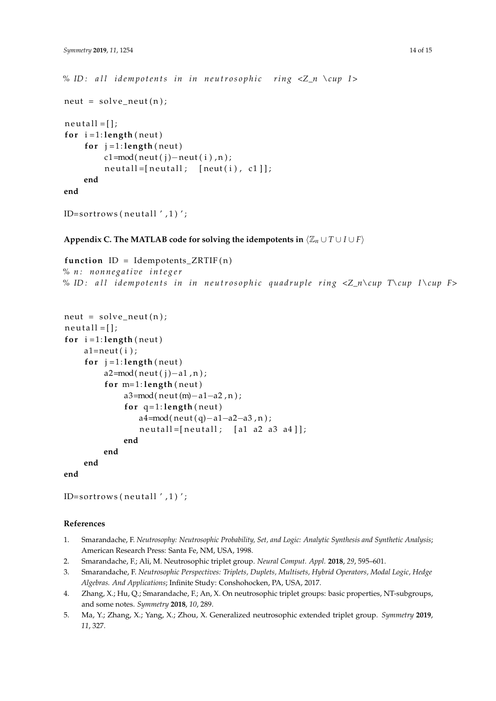```
% ID : a l l i d e m p o t e n t s i n i n n e u t r o s o p h i c ri n g <Z_n \cup I >
neut = solve\_neut(n);neut all = [];
for i = 1: length(new)for j = 1: length (neut)
          c1=mod(neut(j)-neut(i),n);neut all = [neut all; [neut(i), cl]],end
end
```

```
ID=sortrows (neutall ', 1)';
```

```
Appendix C. The MATLAB code for solving the idempotents in \langle \mathbb{Z}_n \cup T \cup I \cup F \rangle
```

```
function ID = Idempotents_ZRTIF(n)% n : n o n n e g a ti v e i n t e g e r
% ID : a l l i d e m p o t e n t s i n i n n e u t r o s o p h i c q u a d r u pl e ri n g <Z_n\cup T\cup I \cup F>
```

```
neut = solve\_neut(n);neut all = [];
for i = 1: length(new)a1=neut(i);for j = 1: length (neut)
         a2=mod(neut(j)-a1,n);for m=1: length(nea3 = mod(neut(m) - a1 - a2, n);for q=1: length(neut)a4 = mod(neut(q) - a1 - a2 - a3, n);neut all = [neut all; [a1 a2 a3 a4]);end
        end
    end
end
```

```
ID=sortrows (neutall ',1)';
```
# **References**

- <span id="page-13-0"></span>1. Smarandache, F. *Neutrosophy: Neutrosophic Probability, Set, and Logic: Analytic Synthesis and Synthetic Analysis*; American Research Press: Santa Fe, NM, USA, 1998.
- <span id="page-13-1"></span>2. Smarandache, F.; Ali, M. Neutrosophic triplet group. *Neural Comput. Appl.* **2018**, *29*, 595–601.
- <span id="page-13-4"></span>3. Smarandache, F. *Neutrosophic Perspectives: Triplets, Duplets, Multisets, Hybrid Operators, Modal Logic, Hedge Algebras. And Applications*; Infinite Study: Conshohocken, PA, USA, 2017.
- <span id="page-13-2"></span>4. Zhang, X.; Hu, Q.; Smarandache, F.; An, X. On neutrosophic triplet groups: basic properties, NT-subgroups, and some notes. *Symmetry* **2018**, *10*, 289.
- <span id="page-13-3"></span>5. Ma, Y.; Zhang, X.; Yang, X.; Zhou, X. Generalized neutrosophic extended triplet group. *Symmetry* **2019**, *11*, 327.